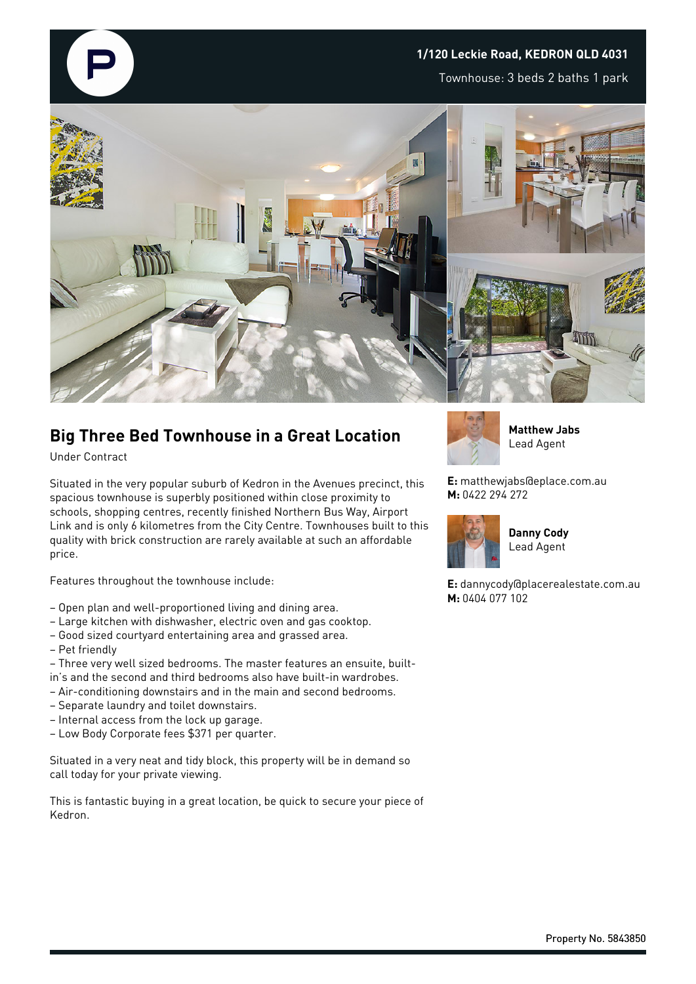## **1/120 Leckie Road, KEDRON QLD 4031**

Townhouse: 3 beds 2 baths 1 park



## **Big Three Bed Townhouse in a Great Location**

Under Contract

Situated in the very popular suburb of Kedron in the Avenues precinct, this spacious townhouse is superbly positioned within close proximity to schools, shopping centres, recently finished Northern Bus Way, Airport Link and is only 6 kilometres from the City Centre. Townhouses built to this quality with brick construction are rarely available at such an affordable price.

Features throughout the townhouse include:

- Open plan and well-proportioned living and dining area.
- Large kitchen with dishwasher, electric oven and gas cooktop.
- Good sized courtyard entertaining area and grassed area.
- Pet friendly
- Three very well sized bedrooms. The master features an ensuite, builtin's and the second and third bedrooms also have built-in wardrobes.
- Air-conditioning downstairs and in the main and second bedrooms.
- Separate laundry and toilet downstairs.
- Internal access from the lock up garage.
- Low Body Corporate fees \$371 per quarter.

Situated in a very neat and tidy block, this property will be in demand so call today for your private viewing.

This is fantastic buying in a great location, be quick to secure your piece of Kedron.



**Matthew Jabs** Lead Agent

**E:** matthewjabs@eplace.com.au **M:** 0422 294 272



**Danny Cody** Lead Agent

**E:** dannycody@placerealestate.com.au **M:** 0404 077 102